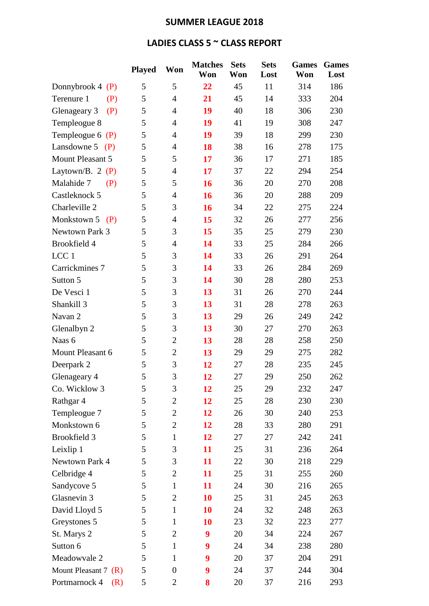## **SUMMER LEAGUE 2018**

## **LADIES CLASS 5 ~ CLASS REPORT**

|                        | <b>Played</b> | Won              | <b>Matches</b><br>Won | <b>Sets</b><br>Won | <b>Sets</b><br>Lost | <b>Games</b><br>Won | <b>Games</b><br>Lost |
|------------------------|---------------|------------------|-----------------------|--------------------|---------------------|---------------------|----------------------|
|                        |               |                  |                       |                    |                     |                     |                      |
| Donnybrook $4(P)$      | 5             | 5                | 22                    | 45                 | 11                  | 314                 | 186                  |
| Terenure 1<br>(P)      | 5             | $\overline{4}$   | 21                    | 45                 | 14                  | 333                 | 204                  |
| (P)<br>Glenageary 3    | 5             | $\overline{4}$   | 19                    | 40                 | 18                  | 306                 | 230                  |
| Templeogue 8           | 5             | $\overline{4}$   | 19                    | 41                 | 19                  | 308                 | 247                  |
| Templeogue $6(P)$      | 5             | $\overline{4}$   | 19                    | 39                 | 18                  | 299                 | 230                  |
| Lansdowne $5$ (P)      | 5             | $\overline{4}$   | 18                    | 38                 | 16                  | 278                 | 175                  |
| Mount Pleasant 5       | 5             | 5                | 17                    | 36                 | 17                  | 271                 | 185                  |
| Laytown/B. 2 $(P)$     | 5             | $\overline{4}$   | 17                    | 37                 | 22                  | 294                 | 254                  |
| Malahide 7<br>(P)      | 5             | 5                | 16                    | 36                 | 20                  | 270                 | 208                  |
| Castleknock 5          | 5             | $\overline{4}$   | 16                    | 36                 | 20                  | 288                 | 209                  |
| Charleville 2          | 5             | 3                | 16                    | 34                 | 22                  | 275                 | 224                  |
| Monkstown $5$ (P)      | 5             | $\overline{4}$   | 15                    | 32                 | 26                  | 277                 | 256                  |
| Newtown Park 3         | 5             | 3                | 15                    | 35                 | 25                  | 279                 | 230                  |
| Brookfield 4           | 5             | $\overline{4}$   | 14                    | 33                 | 25                  | 284                 | 266                  |
| LCC <sub>1</sub>       | 5             | 3                | 14                    | 33                 | 26                  | 291                 | 264                  |
| Carrickmines 7         | 5             | 3                | 14                    | 33                 | 26                  | 284                 | 269                  |
| Sutton 5               | 5             | 3                | 14                    | 30                 | 28                  | 280                 | 253                  |
| De Vesci 1             | 5             | 3                | 13                    | 31                 | 26                  | 270                 | 244                  |
| Shankill <sub>3</sub>  | 5             | 3                | 13                    | 31                 | 28                  | 278                 | 263                  |
| Navan 2                | 5             | 3                | 13                    | 29                 | 26                  | 249                 | 242                  |
| Glenalbyn 2            | 5             | 3                | 13                    | 30                 | 27                  | 270                 | 263                  |
| Naas 6                 | 5             | $\overline{2}$   | 13                    | 28                 | 28                  | 258                 | 250                  |
| Mount Pleasant 6       | 5             | $\overline{2}$   | 13                    | 29                 | 29                  | 275                 | 282                  |
| Deerpark 2             | 5             | 3                | 12                    | 27                 | 28                  | 235                 | 245                  |
| Glenageary 4           | 5             | 3                | 12                    | 27                 | 29                  | 250                 | 262                  |
| Co. Wicklow 3          | 5             | 3                | 12                    | 25                 | 29                  | 232                 | 247                  |
| Rathgar 4              | 5             | $\overline{2}$   | 12                    | 25                 | 28                  | 230                 | 230                  |
| Templeogue 7           | 5             | $\overline{2}$   | 12                    | 26                 | 30                  | 240                 | 253                  |
| Monkstown 6            | 5             | $\overline{2}$   | 12                    | 28                 | 33                  | 280                 | 291                  |
| Brookfield 3           | 5             | $\mathbf{1}$     | 12                    | 27                 | 27                  | 242                 | 241                  |
| Leixlip 1              | 5             | 3                | 11                    | 25                 | 31                  | 236                 | 264                  |
| Newtown Park 4         | 5             | 3                | 11                    | 22                 | 30                  | 218                 | 229                  |
| Celbridge 4            | 5             | $\mathbf{2}$     | 11                    | 25                 | 31                  | 255                 | 260                  |
| Sandycove 5            | 5             | $\mathbf{1}$     | 11                    | 24                 | 30                  | 216                 | 265                  |
| Glasnevin 3            | 5             | $\overline{2}$   | 10                    | 25                 | 31                  | 245                 | 263                  |
| David Lloyd 5          | 5             | $\mathbf{1}$     | 10                    | 24                 | 32                  | 248                 | 263                  |
| Greystones 5           | 5             | $\mathbf{1}$     | 10                    | 23                 | 32                  | 223                 | 277                  |
| St. Marys 2            | 5             | $\overline{2}$   | 9                     | 20                 | 34                  | 224                 | 267                  |
| Sutton 6               | 5             | $\mathbf{1}$     | 9                     | 24                 | 34                  | 238                 | 280                  |
| Meadowvale 2           | 5             | $\mathbf{1}$     | 9                     | 20                 | 37                  | 204                 | 291                  |
| Mount Pleasant 7 $(R)$ | 5             | $\boldsymbol{0}$ | 9                     | 24                 | 37                  | 244                 | 304                  |
| Portmarnock 4<br>(R)   | 5             | $\overline{2}$   | 8                     | 20                 | 37                  | 216                 | 293                  |